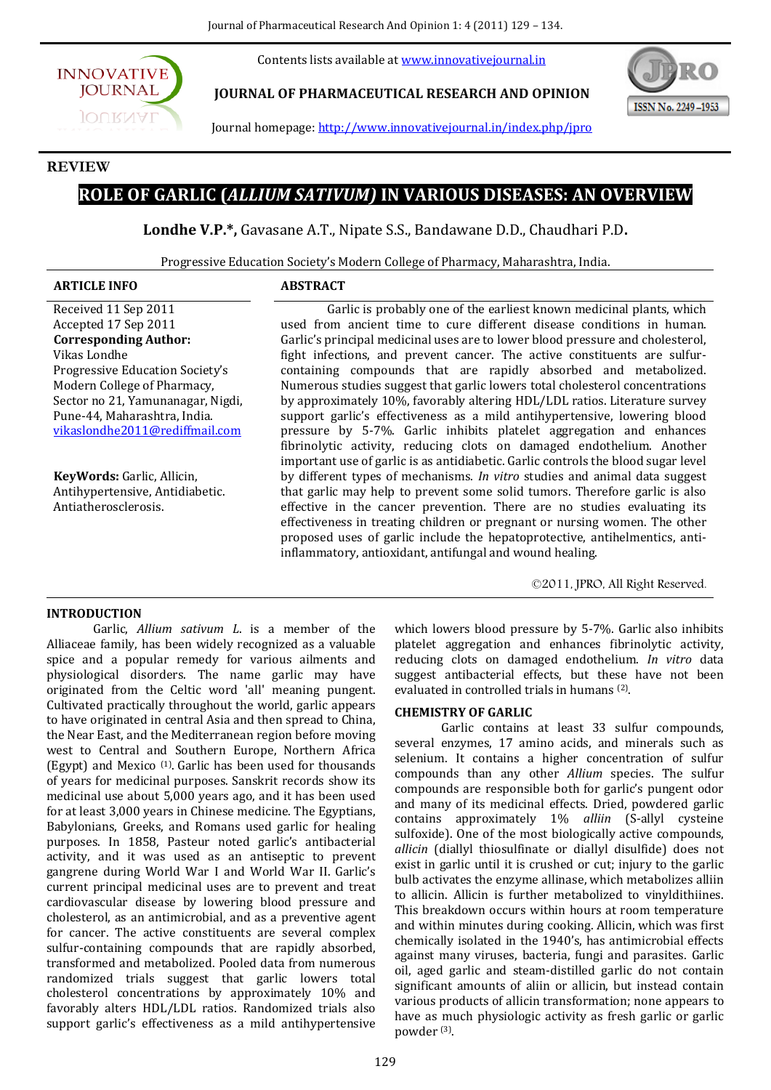Contents lists available at www.innovativejournal.in



**JOURNAL OF PHARMACEUTICAL RESEARCH AND OPINION**



Journal homepage: http://www.innovativejournal.in/index.php/jpro

# **REVIEW**

# **ROLE OF GARLIC (***ALLIUM SATIVUM)* **IN VARIOUS DISEASES: AN OVERVIEW**

**Londhe V.P.\*,** Gavasane A.T., Nipate S.S., Bandawane D.D., Chaudhari P.D**.**

Progressive Education Society's Modern College of Pharmacy, Maharashtra, India.

# **ARTICLE INFO ABSTRACT**

Received 11 Sep 2011 Accepted 17 Sep 2011 **Corresponding Author:**  Vikas Londhe Progressive Education Society's Modern College of Pharmacy, Sector no 21, Yamunanagar, Nigdi, Pune-44, Maharashtra, India. [vikaslondhe2011@rediffmail.com](mailto:vikaslondhe2011@rediffmail.com)

**KeyWords:** Garlic, Allicin, Antihypertensive, Antidiabetic. Antiatherosclerosis.

Garlic is probably one of the earliest known medicinal plants, which used from ancient time to cure different disease conditions in human. Garlic's principal medicinal uses are to lower blood pressure and cholesterol, fight infections, and prevent cancer. The active constituents are sulfurcontaining compounds that are rapidly absorbed and metabolized. Numerous studies suggest that garlic lowers total cholesterol concentrations by approximately 10%, favorably altering HDL/LDL ratios. Literature survey support garlic's effectiveness as a mild antihypertensive, lowering blood pressure by 5-7%. Garlic inhibits platelet aggregation and enhances fibrinolytic activity, reducing clots on damaged endothelium. Another important use of garlic is as antidiabetic. Garlic controls the blood sugar level by different types of mechanisms. *In vitro* studies and animal data suggest that garlic may help to prevent some solid tumors. Therefore garlic is also effective in the cancer prevention. There are no studies evaluating its effectiveness in treating children or pregnant or nursing women. The other proposed uses of garlic include the hepatoprotective, antihelmentics, antiinflammatory, antioxidant, antifungal and wound healing.

©2011, JPRO, All Right Reserved.

# **INTRODUCTION**

Garlic, *Allium sativum L*. is a member of the Alliaceae family, has been widely recognized as a valuable spice and a popular remedy for various ailments and physiological disorders. The name garlic may have originated from the Celtic word 'all' meaning pungent. Cultivated practically throughout the world, garlic appears to have originated in central Asia and then spread to China, the Near East, and the Mediterranean region before moving west to Central and Southern Europe, Northern Africa (Egypt) and Mexico (1) . Garlic has been used for thousands of years for medicinal purposes. Sanskrit records show its medicinal use about 5,000 years ago, and it has been used for at least 3,000 years in Chinese medicine. The Egyptians, Babylonians, Greeks, and Romans used garlic for healing purposes. In 1858, Pasteur noted garlic's antibacterial activity, and it was used as an antiseptic to prevent gangrene during World War I and World War II. Garlic's current principal medicinal uses are to prevent and treat cardiovascular disease by lowering blood pressure and cholesterol, as an antimicrobial, and as a preventive agent for cancer. The active constituents are several complex sulfur-containing compounds that are rapidly absorbed, transformed and metabolized. Pooled data from numerous randomized trials suggest that garlic lowers total cholesterol concentrations by approximately 10% and favorably alters HDL/LDL ratios. Randomized trials also support garlic's effectiveness as a mild antihypertensive

which lowers blood pressure by 5-7%. Garlic also inhibits platelet aggregation and enhances fibrinolytic activity, reducing clots on damaged endothelium. *In vitro* data suggest antibacterial effects, but these have not been evaluated in controlled trials in humans (2) .

## **CHEMISTRY OF GARLIC**

Garlic contains at least 33 sulfur compounds, several enzymes, 17 amino acids, and minerals such as selenium. It contains a higher concentration of sulfur compounds than any other *Allium* species. The sulfur compounds are responsible both for garlic's pungent odor and many of its medicinal effects. Dried, powdered garlic contains approximately 1% *alliin* (S-allyl cysteine sulfoxide). One of the most biologically active compounds, *allicin* (diallyl thiosulfinate or diallyl disulfide) does not exist in garlic until it is crushed or cut; injury to the garlic bulb activates the enzyme allinase, which metabolizes alliin to allicin. Allicin is further metabolized to vinyldithiines. This breakdown occurs within hours at room temperature and within minutes during cooking. Allicin, which was first chemically isolated in the 1940's, has antimicrobial effects against many viruses, bacteria, fungi and parasites. Garlic oil, aged garlic and steam-distilled garlic do not contain significant amounts of aliin or allicin, but instead contain various products of allicin transformation; none appears to have as much physiologic activity as fresh garlic or garlic powder (3) .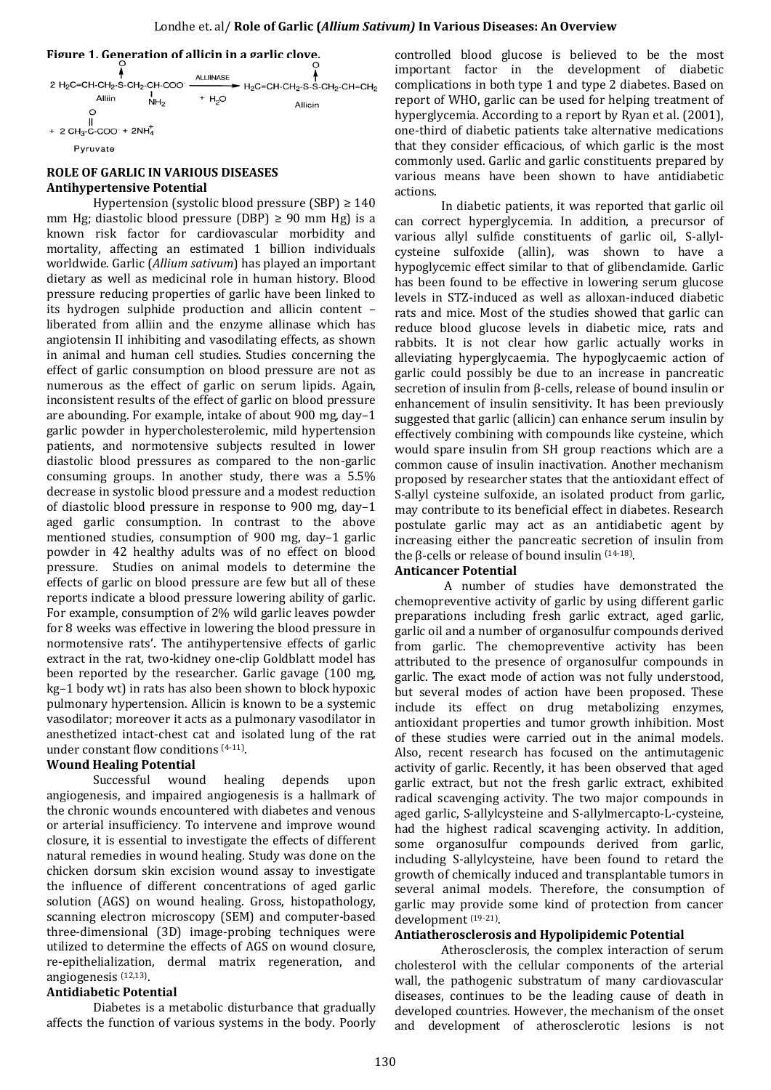

# **ROLE OF GARLIC IN VARIOUS DISEASES Antihypertensive Potential**

Hypertension (systolic blood pressure (SBP)  $\geq 140$ mm Hg; diastolic blood pressure (DBP)  $\geq$  90 mm Hg) is a known risk factor for cardiovascular morbidity and mortality, affecting an estimated 1 billion individuals worldwide. Garlic (*Allium sativum*) has played an important dietary as well as medicinal role in human history. Blood pressure reducing properties of garlic have been linked to its hydrogen sulphide production and allicin content – liberated from alliin and the enzyme allinase which has angiotensin II inhibiting and vasodilating effects, as shown in animal and human cell studies. Studies concerning the effect of garlic consumption on blood pressure are not as numerous as the effect of garlic on serum lipids. Again, inconsistent results of the effect of garlic on blood pressure are abounding. For example, intake of about 900 mg, day–1 garlic powder in hypercholesterolemic, mild hypertension patients, and normotensive subjects resulted in lower diastolic blood pressures as compared to the non-garlic consuming groups. In another study, there was a 5.5% decrease in systolic blood pressure and a modest reduction of diastolic blood pressure in response to 900 mg, day–1 aged garlic consumption. In contrast to the above mentioned studies, consumption of 900 mg, day–1 garlic powder in 42 healthy adults was of no effect on blood pressure. Studies on animal models to determine the effects of garlic on blood pressure are few but all of these reports indicate a blood pressure lowering ability of garlic. For example, consumption of 2% wild garlic leaves powder for 8 weeks was effective in lowering the blood pressure in normotensive rats'. The antihypertensive effects of garlic extract in the rat, two-kidney one-clip Goldblatt model has been reported by the researcher. Garlic gavage (100 mg, kg–1 body wt) in rats has also been shown to block hypoxic pulmonary hypertension. Allicin is known to be a systemic vasodilator; moreover it acts as a pulmonary vasodilator in anesthetized intact-chest cat and isolated lung of the rat under constant flow conditions (4-11) .

## **Wound Healing Potential**

Successful wound healing depends upon angiogenesis, and impaired angiogenesis is a hallmark of the chronic wounds encountered with diabetes and venous or arterial insufficiency. To intervene and improve wound closure, it is essential to investigate the effects of different natural remedies in wound healing. Study was done on the chicken dorsum skin excision wound assay to investigate the influence of different concentrations of aged garlic solution (AGS) on wound healing. Gross, histopathology, scanning electron microscopy (SEM) and computer-based three-dimensional (3D) image-probing techniques were utilized to determine the effects of AGS on wound closure, re-epithelialization, dermal matrix regeneration, and angiogenesis (12,13) .

## **Antidiabetic Potential**

Diabetes is a metabolic disturbance that gradually affects the function of various systems in the body. Poorly

controlled blood glucose is believed to be the most important factor in the development of diabetic complications in both type 1 and type 2 diabetes. Based on report of WHO, garlic can be used for helping treatment of hyperglycemia. According to a report by Ryan et al. (2001), one-third of diabetic patients take alternative medications that they consider efficacious, of which garlic is the most commonly used. Garlic and garlic constituents prepared by various means have been shown to have antidiabetic actions.

In diabetic patients, it was reported that garlic oil can correct hyperglycemia. In addition, a precursor of various allyl sulfide constituents of garlic oil, S-allylcysteine sulfoxide (allin), was shown to have a hypoglycemic effect similar to that of glibenclamide. Garlic has been found to be effective in lowering serum glucose levels in STZ-induced as well as alloxan-induced diabetic rats and mice. Most of the studies showed that garlic can reduce blood glucose levels in diabetic mice, rats and rabbits. It is not clear how garlic actually works in alleviating hyperglycaemia. The hypoglycaemic action of garlic could possibly be due to an increase in pancreatic secretion of insulin from β-cells, release of bound insulin or enhancement of insulin sensitivity. It has been previously suggested that garlic (allicin) can enhance serum insulin by effectively combining with compounds like cysteine, which would spare insulin from SH group reactions which are a common cause of insulin inactivation. Another mechanism proposed by researcher states that the antioxidant effect of S-allyl cysteine sulfoxide, an isolated product from garlic, may contribute to its beneficial effect in diabetes. Research postulate garlic may act as an antidiabetic agent by increasing either the pancreatic secretion of insulin from the β-cells or release of bound insulin  $(14-18)$ .

## **Anticancer Potential**

A number of studies have demonstrated the chemopreventive activity of garlic by using different garlic preparations including fresh garlic extract, aged garlic, garlic oil and a number of organosulfur compounds derived from garlic. The chemopreventive activity has been attributed to the presence of organosulfur compounds in garlic. The exact mode of action was not fully understood, but several modes of action have been proposed. These include its effect on drug metabolizing enzymes, antioxidant properties and tumor growth inhibition. Most of these studies were carried out in the animal models. Also, recent research has focused on the antimutagenic activity of garlic. Recently, it has been observed that aged garlic extract, but not the fresh garlic extract, exhibited radical scavenging activity. The two major compounds in aged garlic, S-allylcysteine and S-allylmercapto-L-cysteine, had the highest radical scavenging activity. In addition, some organosulfur compounds derived from garlic, including S-allylcysteine, have been found to retard the growth of chemically induced and transplantable tumors in several animal models. Therefore, the consumption of garlic may provide some kind of protection from cancer development (19-21) .

## **Antiatherosclerosis and Hypolipidemic Potential**

Atherosclerosis, the complex interaction of serum cholesterol with the cellular components of the arterial wall, the pathogenic substratum of many cardiovascular diseases, continues to be the leading cause of death in developed countries. However, the mechanism of the onset and development of atherosclerotic lesions is not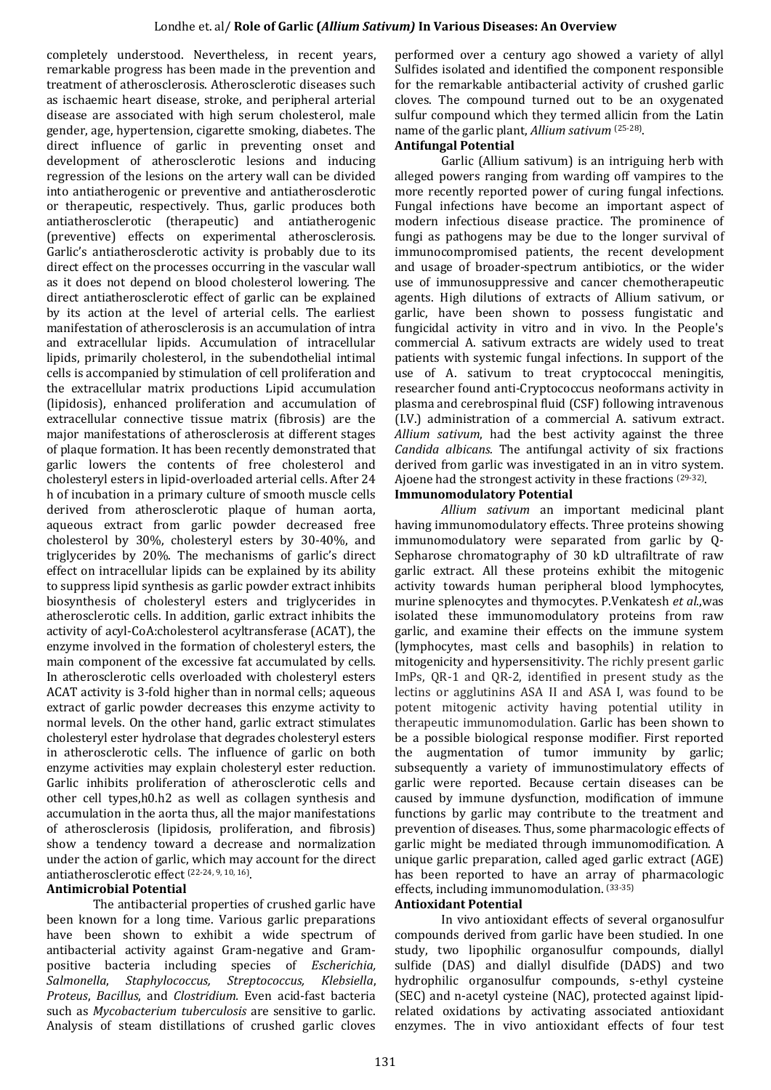completely understood. Nevertheless, in recent years, remarkable progress has been made in the prevention and treatment of atherosclerosis. Atherosclerotic diseases such as ischaemic heart disease, stroke, and peripheral arterial disease are associated with high serum cholesterol, male gender, age, hypertension, cigarette smoking, diabetes. The direct influence of garlic in preventing onset and development of atherosclerotic lesions and inducing regression of the lesions on the artery wall can be divided into antiatherogenic or preventive and antiatherosclerotic or therapeutic, respectively. Thus, garlic produces both antiatherosclerotic (therapeutic) and antiatherogenic (preventive) effects on experimental atherosclerosis. Garlic's antiatherosclerotic activity is probably due to its direct effect on the processes occurring in the vascular wall as it does not depend on blood cholesterol lowering. The direct antiatherosclerotic effect of garlic can be explained by its action at the level of arterial cells. The earliest manifestation of atherosclerosis is an accumulation of intra and extracellular lipids. Accumulation of intracellular lipids, primarily cholesterol, in the subendothelial intimal cells is accompanied by stimulation of cell proliferation and the extracellular matrix productions Lipid accumulation (lipidosis), enhanced proliferation and accumulation of extracellular connective tissue matrix (fibrosis) are the major manifestations of atherosclerosis at different stages of plaque formation. It has been recently demonstrated that garlic lowers the contents of free cholesterol and cholesteryl esters in lipid-overloaded arterial cells. After 24 h of incubation in a primary culture of smooth muscle cells derived from atherosclerotic plaque of human aorta, aqueous extract from garlic powder decreased free cholesterol by 30%, cholesteryl esters by 30-40%, and triglycerides by 20%. The mechanisms of garlic's direct effect on intracellular lipids can be explained by its ability to suppress lipid synthesis as garlic powder extract inhibits biosynthesis of cholesteryl esters and triglycerides in atherosclerotic cells. In addition, garlic extract inhibits the activity of acyl-CoA:cholesterol acyltransferase (ACAT), the enzyme involved in the formation of cholesteryl esters, the main component of the excessive fat accumulated by cells. In atherosclerotic cells overloaded with cholesteryl esters ACAT activity is 3-fold higher than in normal cells; aqueous extract of garlic powder decreases this enzyme activity to normal levels. On the other hand, garlic extract stimulates cholesteryl ester hydrolase that degrades cholesteryl esters in atherosclerotic cells. The influence of garlic on both enzyme activities may explain cholesteryl ester reduction. Garlic inhibits proliferation of atherosclerotic cells and other cell types,h0.h2 as well as collagen synthesis and accumulation in the aorta thus, all the major manifestations of atherosclerosis (lipidosis, proliferation, and fibrosis) show a tendency toward a decrease and normalization under the action of garlic, which may account for the direct antiatherosclerotic effect (22-24, 9, 10, 16) .

# **Antimicrobial Potential**

The antibacterial properties of crushed garlic have been known for a long time. Various garlic preparations have been shown to exhibit a wide spectrum of antibacterial activity against Gram-negative and Grampositive bacteria including species of *Escherichia, Salmonella*, *Staphylococcus, Streptococcus, Klebsiella*, *Proteus*, *Bacillus*, and *Clostridium.* Even acid-fast bacteria such as *Mycobacterium tuberculosis* are sensitive to garlic. Analysis of steam distillations of crushed garlic cloves

performed over a century ago showed a variety of allyl Sulfides isolated and identified the component responsible for the remarkable antibacterial activity of crushed garlic cloves. The compound turned out to be an oxygenated sulfur compound which they termed allicin from the Latin name of the garlic plant, *Allium sativum* (25-28) .

# **Antifungal Potential**

Garlic (Allium sativum) is an intriguing herb with alleged powers ranging from warding off vampires to the more recently reported power of curing fungal infections. Fungal infections have become an important aspect of modern infectious disease practice. The prominence of fungi as pathogens may be due to the longer survival of immunocompromised patients, the recent development and usage of broader-spectrum antibiotics, or the wider use of immunosuppressive and cancer chemotherapeutic agents. High dilutions of extracts of Allium sativum, or garlic, have been shown to possess fungistatic and fungicidal activity in vitro and in vivo. In the People's commercial A. sativum extracts are widely used to treat patients with systemic fungal infections. In support of the use of A. sativum to treat cryptococcal meningitis, researcher found anti-Cryptococcus neoformans activity in plasma and cerebrospinal fluid (CSF) following intravenous (I.V.) administration of a commercial A. sativum extract. *Allium sativum*, had the best activity against the three *Candida albicans.* The antifungal activity of six fractions derived from garlic was investigated in an in vitro system. Ajoene had the strongest activity in these fractions <sup>(29-32)</sup>.

# **Immunomodulatory Potential**

*Allium sativum* an important medicinal plant having immunomodulatory effects. Three proteins showing immunomodulatory were separated from garlic by Q-Sepharose chromatography of 30 kD ultrafiltrate of raw garlic extract. All these proteins exhibit the mitogenic activity towards human peripheral blood lymphocytes, murine splenocytes and thymocytes. P.Venkatesh *et al*.,was isolated these immunomodulatory proteins from raw garlic, and examine their effects on the immune system (lymphocytes, mast cells and basophils) in relation to mitogenicity and hypersensitivity. The richly present garlic ImPs, QR-1 and QR-2, identified in present study as the lectins or agglutinins ASA II and ASA I, was found to be potent mitogenic activity having potential utility in therapeutic immunomodulation. Garlic has been shown to be a possible biological response modifier. First reported the augmentation of tumor immunity by garlic; subsequently a variety of immunostimulatory effects of garlic were reported. Because certain diseases can be caused by immune dysfunction, modification of immune functions by garlic may contribute to the treatment and prevention of diseases. Thus, some pharmacologic effects of garlic might be mediated through immunomodification. A unique garlic preparation, called aged garlic extract (AGE) has been reported to have an array of pharmacologic effects, including immunomodulation. (33-35)

# **Antioxidant Potential**

In vivo antioxidant effects of several organosulfur compounds derived from garlic have been studied. In one study, two lipophilic organosulfur compounds, diallyl sulfide (DAS) and diallyl disulfide (DADS) and two hydrophilic organosulfur compounds, s-ethyl cysteine (SEC) and n-acetyl cysteine (NAC), protected against lipidrelated oxidations by activating associated antioxidant enzymes. The in vivo antioxidant effects of four test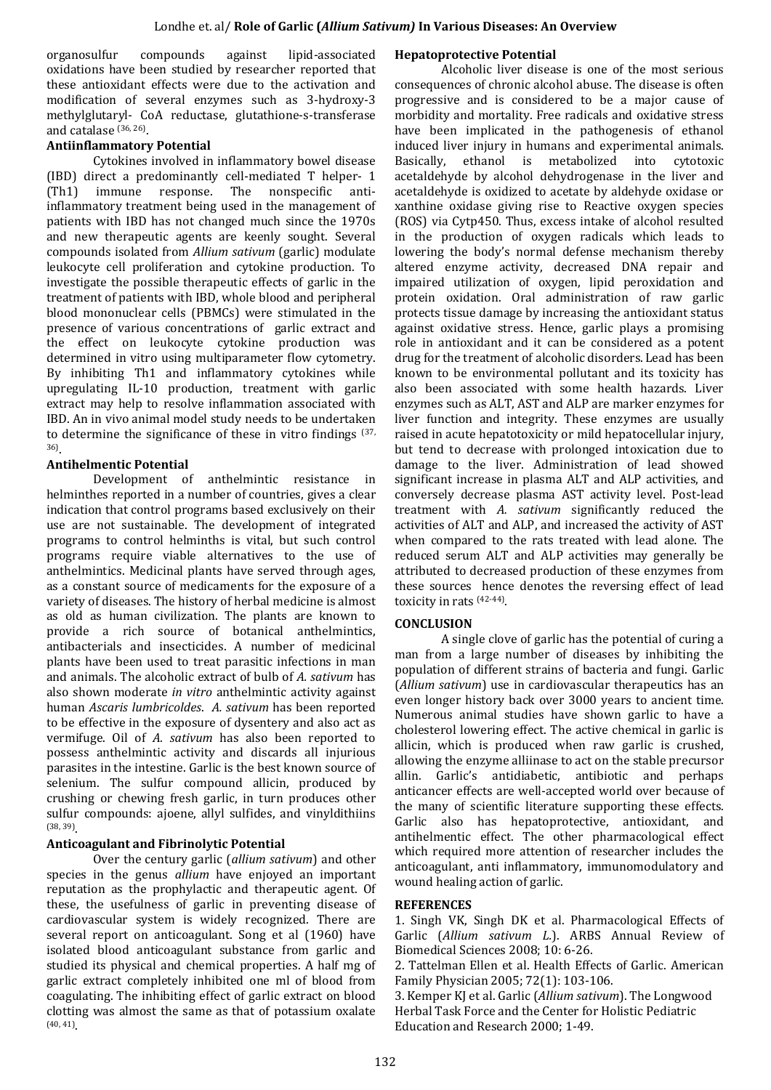organosulfur compounds against lipid-associated oxidations have been studied by researcher reported that these antioxidant effects were due to the activation and modification of several enzymes such as 3-hydroxy-3 methylglutaryl- CoA reductase, glutathione-s-transferase and catalase (36, 26) .

# **Antiinflammatory Potential**

Cytokines involved in inflammatory bowel disease (IBD) direct a predominantly cell-mediated T helper- 1 (Th1) immune response. The nonspecific antiinflammatory treatment being used in the management of patients with IBD has not changed much since the 1970s and new therapeutic agents are keenly sought. Several compounds isolated from *Allium sativum* (garlic) modulate leukocyte cell proliferation and cytokine production. To investigate the possible therapeutic effects of garlic in the treatment of patients with IBD, whole blood and peripheral blood mononuclear cells (PBMCs) were stimulated in the presence of various concentrations of garlic extract and the effect on leukocyte cytokine production was determined in vitro using multiparameter flow cytometry. By inhibiting Th1 and inflammatory cytokines while upregulating IL-10 production, treatment with garlic extract may help to resolve inflammation associated with IBD. An in vivo animal model study needs to be undertaken to determine the significance of these in vitro findings (37, 36) .

# **Antihelmentic Potential**

Development of anthelmintic resistance in helminthes reported in a number of countries, gives a clear indication that control programs based exclusively on their use are not sustainable. The development of integrated programs to control helminths is vital, but such control programs require viable alternatives to the use of anthelmintics. Medicinal plants have served through ages, as a constant source of medicaments for the exposure of a variety of diseases. The history of herbal medicine is almost as old as human civilization. The plants are known to provide a rich source of botanical anthelmintics, antibacterials and insecticides. A number of medicinal plants have been used to treat parasitic infections in man and animals. The alcoholic extract of bulb of *A. sativum* has also shown moderate *in vitro* anthelmintic activity against human *Ascaris lumbricoldes*. *A. sativum* has been reported to be effective in the exposure of dysentery and also act as vermifuge. Oil of *A. sativum* has also been reported to possess anthelmintic activity and discards all injurious parasites in the intestine. Garlic is the best known source of selenium. The sulfur compound allicin, produced by crushing or chewing fresh garlic, in turn produces other sulfur compounds: ajoene, allyl sulfides, and vinyldithiins (38, 39) .

# **Anticoagulant and Fibrinolytic Potential**

Over the century garlic (*allium sativum*) and other species in the genus *allium* have enjoyed an important reputation as the prophylactic and therapeutic agent. Of these, the usefulness of garlic in preventing disease of cardiovascular system is widely recognized. There are several report on anticoagulant. Song et al (1960) have isolated blood anticoagulant substance from garlic and studied its physical and chemical properties. A half mg of garlic extract completely inhibited one ml of blood from coagulating. The inhibiting effect of garlic extract on blood clotting was almost the same as that of potassium oxalate (40, 41) .

# **Hepatoprotective Potential**

Alcoholic liver disease is one of the most serious consequences of chronic alcohol abuse. The disease is often progressive and is considered to be a major cause of morbidity and mortality. Free radicals and oxidative stress have been implicated in the pathogenesis of ethanol induced liver injury in humans and experimental animals. Basically, ethanol is metabolized into cytotoxic acetaldehyde by alcohol dehydrogenase in the liver and acetaldehyde is oxidized to acetate by aldehyde oxidase or xanthine oxidase giving rise to Reactive oxygen species (ROS) via Cytp450. Thus, excess intake of alcohol resulted in the production of oxygen radicals which leads to lowering the body's normal defense mechanism thereby altered enzyme activity, decreased DNA repair and impaired utilization of oxygen, lipid peroxidation and protein oxidation. Oral administration of raw garlic protects tissue damage by increasing the antioxidant status against oxidative stress. Hence, garlic plays a promising role in antioxidant and it can be considered as a potent drug for the treatment of alcoholic disorders. Lead has been known to be environmental pollutant and its toxicity has also been associated with some health hazards. Liver enzymes such as ALT, AST and ALP are marker enzymes for liver function and integrity. These enzymes are usually raised in acute hepatotoxicity or mild hepatocellular injury, but tend to decrease with prolonged intoxication due to damage to the liver. Administration of lead showed significant increase in plasma ALT and ALP activities, and conversely decrease plasma AST activity level. Post-lead treatment with *A. sativum* significantly reduced the activities of ALT and ALP, and increased the activity of AST when compared to the rats treated with lead alone. The reduced serum ALT and ALP activities may generally be attributed to decreased production of these enzymes from these sources hence denotes the reversing effect of lead toxicity in rats (42-44) .

## **CONCLUSION**

A single clove of garlic has the potential of curing a man from a large number of diseases by inhibiting the population of different strains of bacteria and fungi. Garlic (*Allium sativum*) use in cardiovascular therapeutics has an even longer history back over 3000 years to ancient time. Numerous animal studies have shown garlic to have a cholesterol lowering effect. The active chemical in garlic is allicin, which is produced when raw garlic is crushed, allowing the enzyme alliinase to act on the stable precursor allin. Garlic's antidiabetic, antibiotic and perhaps anticancer effects are well-accepted world over because of the many of scientific literature supporting these effects. Garlic also has hepatoprotective, antioxidant, and antihelmentic effect. The other pharmacological effect which required more attention of researcher includes the anticoagulant, anti inflammatory, immunomodulatory and wound healing action of garlic.

## **REFERENCES**

1. Singh VK, Singh DK et al. Pharmacological Effects of Garlic (*Allium sativum L.*). ARBS Annual Review of Biomedical Sciences 2008; 10: 6-26.

2. Tattelman Ellen et al. Health Effects of Garlic. American Family Physician 2005; 72(1): 103-106.

3. Kemper KJ et al. Garlic (*Allium sativum*). The Longwood Herbal Task Force and the Center for Holistic Pediatric Education and Research 2000; 1-49.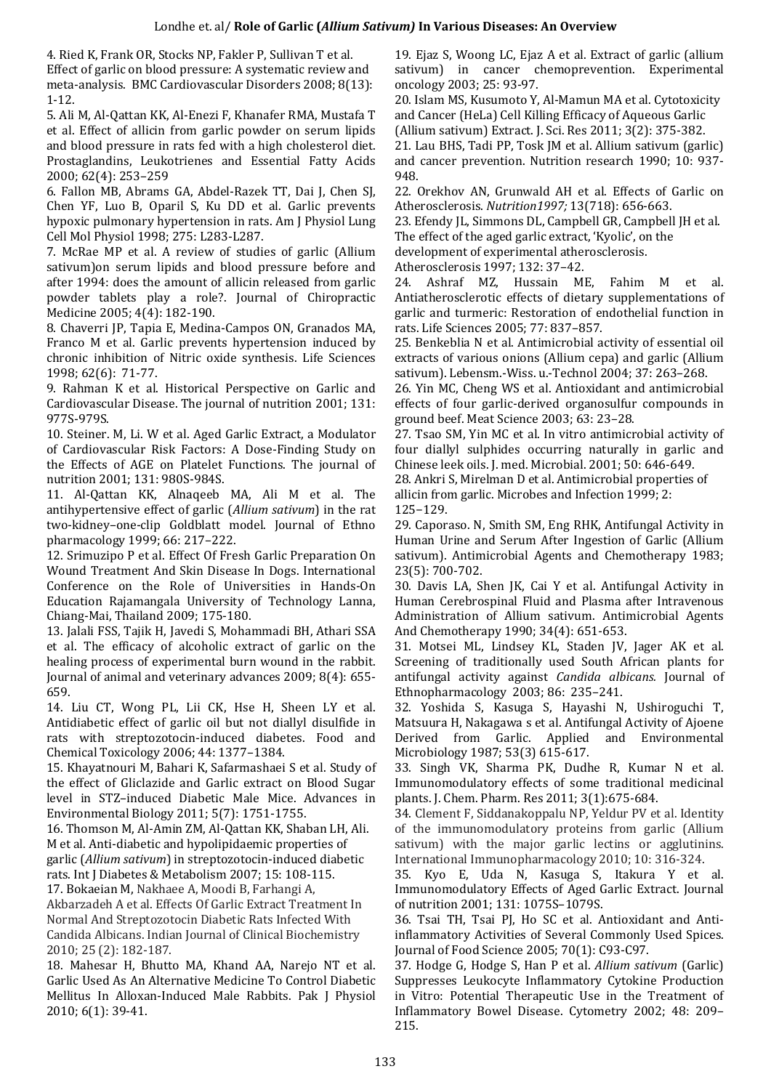4. Ried K, Frank OR, Stocks NP, Fakler P, Sullivan T et al. Effect of garlic on blood pressure: A systematic review and meta-analysis. BMC Cardiovascular Disorders 2008; 8(13): 1-12.

5. Ali M, Al-Qattan KK, Al-Enezi F, Khanafer RMA, Mustafa T et al. Effect of allicin from garlic powder on serum lipids and blood pressure in rats fed with a high cholesterol diet. Prostaglandins, Leukotrienes and Essential Fatty Acids 2000; 62(4): 253–259

6. Fallon MB, Abrams GA, Abdel-Razek TT, Dai J, Chen SJ, Chen YF, Luo B, Oparil S, Ku DD et al. Garlic prevents hypoxic pulmonary hypertension in rats. Am J Physiol Lung Cell Mol Physiol 1998; 275: L283-L287.

7. McRae MP et al. A review of studies of garlic (Allium sativum)on serum lipids and blood pressure before and after 1994: does the amount of allicin released from garlic powder tablets play a role?. Journal of Chiropractic Medicine 2005; 4(4): 182-190.

8. Chaverri JP, Tapia E, Medina-Campos ON, Granados MA, Franco M et al. Garlic prevents hypertension induced by chronic inhibition of Nitric oxide synthesis. Life Sciences 1998; 62(6): 71-77.

9. Rahman K et al. Historical Perspective on Garlic and Cardiovascular Disease. The journal of nutrition 2001; 131: 977S-979S.

10. Steiner. M, Li. W et al. Aged Garlic Extract, a Modulator of Cardiovascular Risk Factors: A Dose-Finding Study on the Effects of AGE on Platelet Functions. The journal of nutrition 2001; 131: 980S-984S.

11. Al-Qattan KK, Alnaqeeb MA, Ali M et al. The antihypertensive effect of garlic (*Allium sativum*) in the rat two-kidney–one-clip Goldblatt model. Journal of Ethno pharmacology 1999; 66: 217–222.

12. Srimuzipo P et al. Effect Of Fresh Garlic Preparation On Wound Treatment And Skin Disease In Dogs. International Conference on the Role of Universities in Hands-On Education Rajamangala University of Technology Lanna, Chiang-Mai, Thailand 2009; 175-180.

13. Jalali FSS, Tajik H, Javedi S, Mohammadi BH, Athari SSA et al. The efficacy of alcoholic extract of garlic on the healing process of experimental burn wound in the rabbit. Journal of animal and veterinary advances 2009; 8(4): 655- 659.

14. Liu CT, Wong PL, Lii CK, Hse H, Sheen LY et al. Antidiabetic effect of garlic oil but not diallyl disulfide in rats with streptozotocin-induced diabetes. Food and Chemical Toxicology 2006; 44: 1377–1384.

15. Khayatnouri M, Bahari K, Safarmashaei S et al. Study of the effect of Gliclazide and Garlic extract on Blood Sugar level in STZ–induced Diabetic Male Mice. Advances in Environmental Biology 2011; 5(7): 1751-1755.

16. Thomson M, Al-Amin ZM, Al-Qattan KK, Shaban LH, Ali. M et al. Anti-diabetic and hypolipidaemic properties of garlic (*Allium sativum*) in streptozotocin-induced diabetic rats. Int J Diabetes & Metabolism 2007; 15: 108-115.

17. Bokaeian M, Nakhaee A, Moodi B, Farhangi A, Akbarzadeh A et al. Effects Of Garlic Extract Treatment In Normal And Streptozotocin Diabetic Rats Infected With Candida Albicans. Indian Journal of Clinical Biochemistry 2010; 25 (2): 182-187.

18. Mahesar H, Bhutto MA, Khand AA, Narejo NT et al. Garlic Used As An Alternative Medicine To Control Diabetic Mellitus In Alloxan-Induced Male Rabbits. Pak J Physiol 2010; 6(1): 39-41.

19. Ejaz S, Woong LC, Ejaz A et al. Extract of garlic (allium sativum) in cancer chemoprevention. Experimental oncology 2003; 25: 93-97.

20. Islam MS, Kusumoto Y, Al-Mamun MA et al. Cytotoxicity and Cancer (HeLa) Cell Killing Efficacy of Aqueous Garlic

(Allium sativum) Extract. J. Sci. Res 2011; 3(2): 375-382.

21. Lau BHS, Tadi PP, Tosk JM et al. Allium sativum (garlic) and cancer prevention. Nutrition research 1990; 10: 937- 948.

22. Orekhov AN, Grunwald AH et al. Effects of Garlic on Atherosclerosis. *Nutrition1997;* 13(718): 656-663.

23. Efendy JL, Simmons DL, Campbell GR, Campbell JH et al. The effect of the aged garlic extract, 'Kyolic', on the

development of experimental atherosclerosis.

Atherosclerosis 1997; 132: 37–42.

24. Ashraf MZ, Hussain ME, Fahim M et al. Antiatherosclerotic effects of dietary supplementations of garlic and turmeric: Restoration of endothelial function in rats. Life Sciences 2005; 77: 837–857.

25. Benkeblia N et al. Antimicrobial activity of essential oil extracts of various onions (Allium cepa) and garlic (Allium sativum). Lebensm.-Wiss. u.-Technol 2004; 37: 263–268.

26. Yin MC, Cheng WS et al. Antioxidant and antimicrobial effects of four garlic-derived organosulfur compounds in ground beef. Meat Science 2003; 63: 23–28.

27. Tsao SM, Yin MC et al. In vitro antimicrobial activity of four diallyl sulphides occurring naturally in garlic and Chinese leek oils. J. med. Microbial. 2001; 50: 646-649.

28. Ankri S, Mirelman D et al. Antimicrobial properties of allicin from garlic. Microbes and Infection 1999; 2: 125−129.

29. Caporaso. N, Smith SM, Eng RHK, Antifungal Activity in Human Urine and Serum After Ingestion of Garlic (Allium sativum). Antimicrobial Agents and Chemotherapy 1983; 23(5): 700-702.

30. Davis LA, Shen JK, Cai Y et al. Antifungal Activity in Human Cerebrospinal Fluid and Plasma after Intravenous Administration of Allium sativum. Antimicrobial Agents And Chemotherapy 1990; 34(4): 651-653.

31. Motsei ML, Lindsey KL, Staden JV, Jager AK et al. Screening of traditionally used South African plants for antifungal activity against *Candida albicans.* Journal of Ethnopharmacology 2003; 86: 235–241.

32. Yoshida S, Kasuga S, Hayashi N, Ushiroguchi T, Matsuura H, Nakagawa s et al. Antifungal Activity of Ajoene Derived from Garlic. Applied and Environmental Microbiology 1987; 53(3) 615-617.

33. Singh VK, Sharma PK, Dudhe R, Kumar N et al. Immunomodulatory effects of some traditional medicinal plants. J. Chem. Pharm. Res 2011; 3(1):675-684.

34. Clement F, Siddanakoppalu NP, Yeldur PV et al. Identity of the immunomodulatory proteins from garlic (Allium sativum) with the major garlic lectins or agglutinins. International Immunopharmacology 2010; 10: 316-324.

35. Kyo E, Uda N, Kasuga S, Itakura Y et al. Immunomodulatory Effects of Aged Garlic Extract. Journal of nutrition 2001; 131: 1075S–1079S.

36. Tsai TH, Tsai PJ, Ho SC et al. Antioxidant and Antiinflammatory Activities of Several Commonly Used Spices. Journal of Food Science 2005; 70(1): C93-C97.

37. Hodge G, Hodge S, Han P et al. *Allium sativum* (Garlic) Suppresses Leukocyte Inflammatory Cytokine Production in Vitro: Potential Therapeutic Use in the Treatment of Inflammatory Bowel Disease. Cytometry 2002; 48: 209– 215.